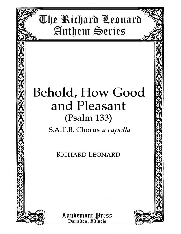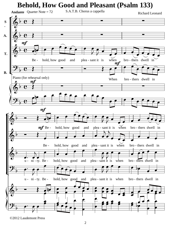## **Behold, How Good and Pleasant (Psalm 133)**

**Andante** Quarter Note = 72

S.A.T.B. Chorus a cappella

Richard Leonard



©2012 Laudemont Press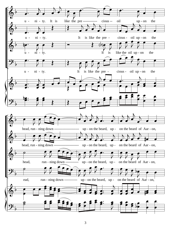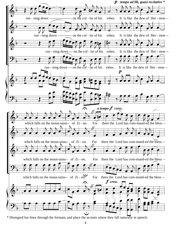

\* Disregard bar lines through the fermata, and place the accents where they fall naturally in speech.